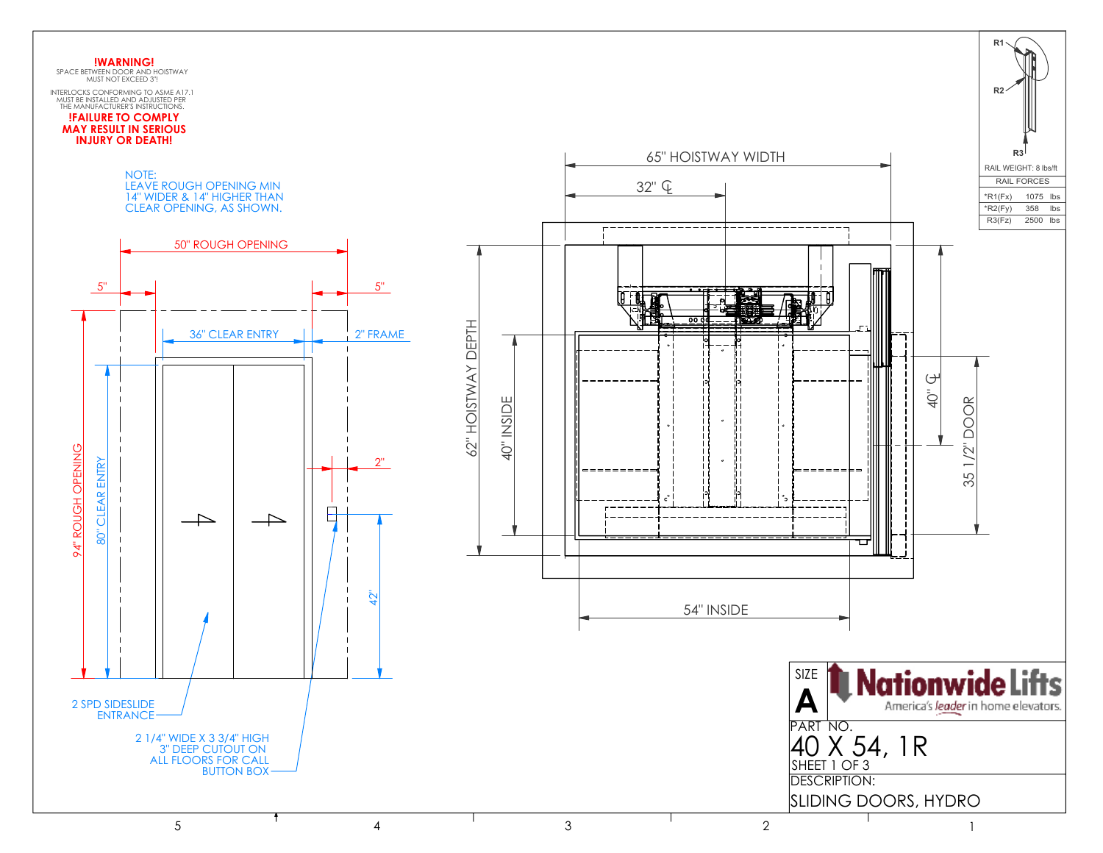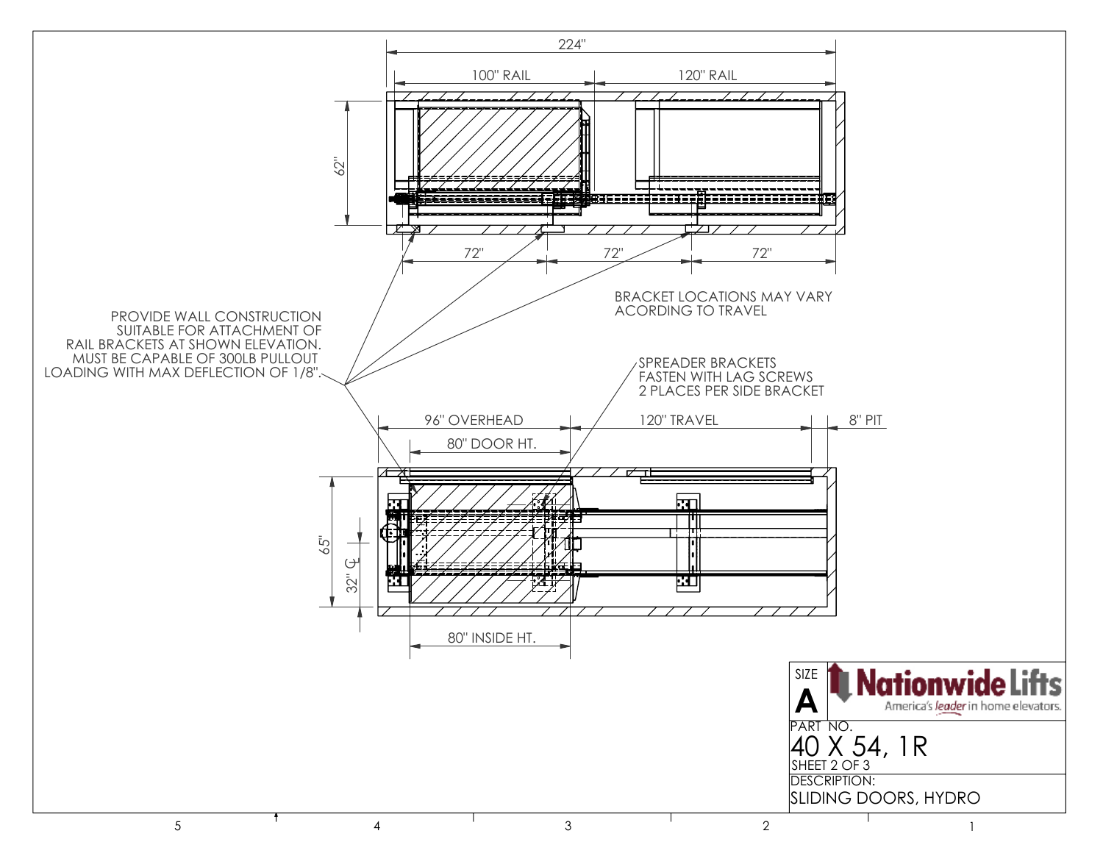